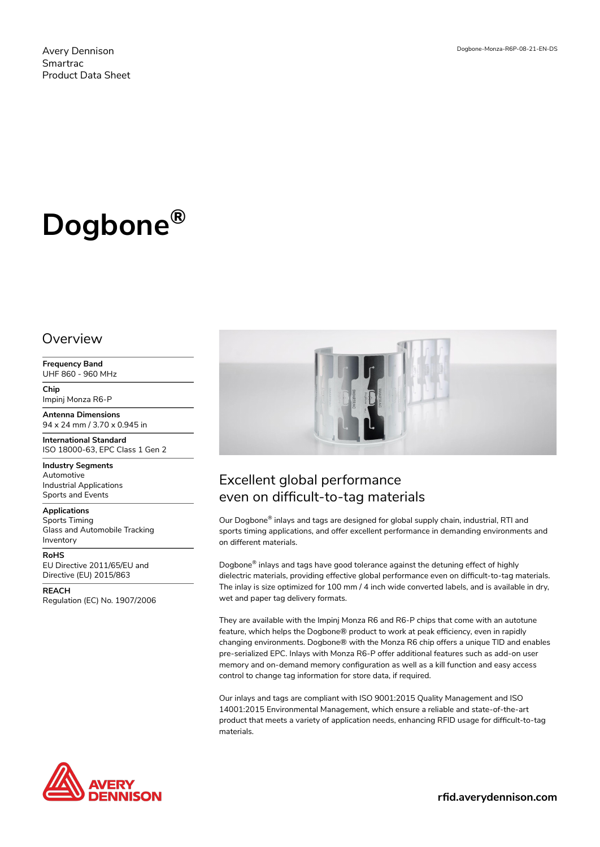Avery Dennison Smartrac Product Data Sheet

# **Dogbone®**

#### **Overview**

**Frequency Band** UHF 860 - 960 MHz

**Chip** Impinj Monza R6-P

**Antenna Dimensions** 94 x 24 mm / 3.70 x 0.945 in

**International Standard** ISO 18000-63, EPC Class 1 Gen 2

**Industry Segments** Automotive Industrial Applications Sports and Events

**Applications** Sports Timing Glass and Automobile Tracking

Inventory

**RoHS** EU Directive 2011/65/EU and Directive (EU) 2015/863

**REACH** Regulation (EC) No. 1907/2006



## Excellent global performance even on difficult-to-tag materials

Our Dogbone® inlays and tags are designed for global supply chain, industrial, RTI and sports timing applications, and offer excellent performance in demanding environments and on different materials.

Dogbone® inlays and tags have good tolerance against the detuning effect of highly dielectric materials, providing effective global performance even on difficult-to-tag materials. The inlay is size optimized for 100 mm / 4 inch wide converted labels, and is available in dry, wet and paper tag delivery formats.

They are available with the Impinj Monza R6 and R6-P chips that come with an autotune feature, which helps the Dogbone® product to work at peak efficiency, even in rapidly changing environments. Dogbone® with the Monza R6 chip offers a unique TID and enables pre-serialized EPC. Inlays with Monza R6-P offer additional features such as add-on user memory and on-demand memory configuration as well as a kill function and easy access control to change tag information for store data, if required.

Our inlays and tags are compliant with ISO 9001:2015 Quality Management and ISO 14001:2015 Environmental Management, which ensure a reliable and state-of-the-art product that meets a variety of application needs, enhancing RFID usage for difficult-to-tag materials.